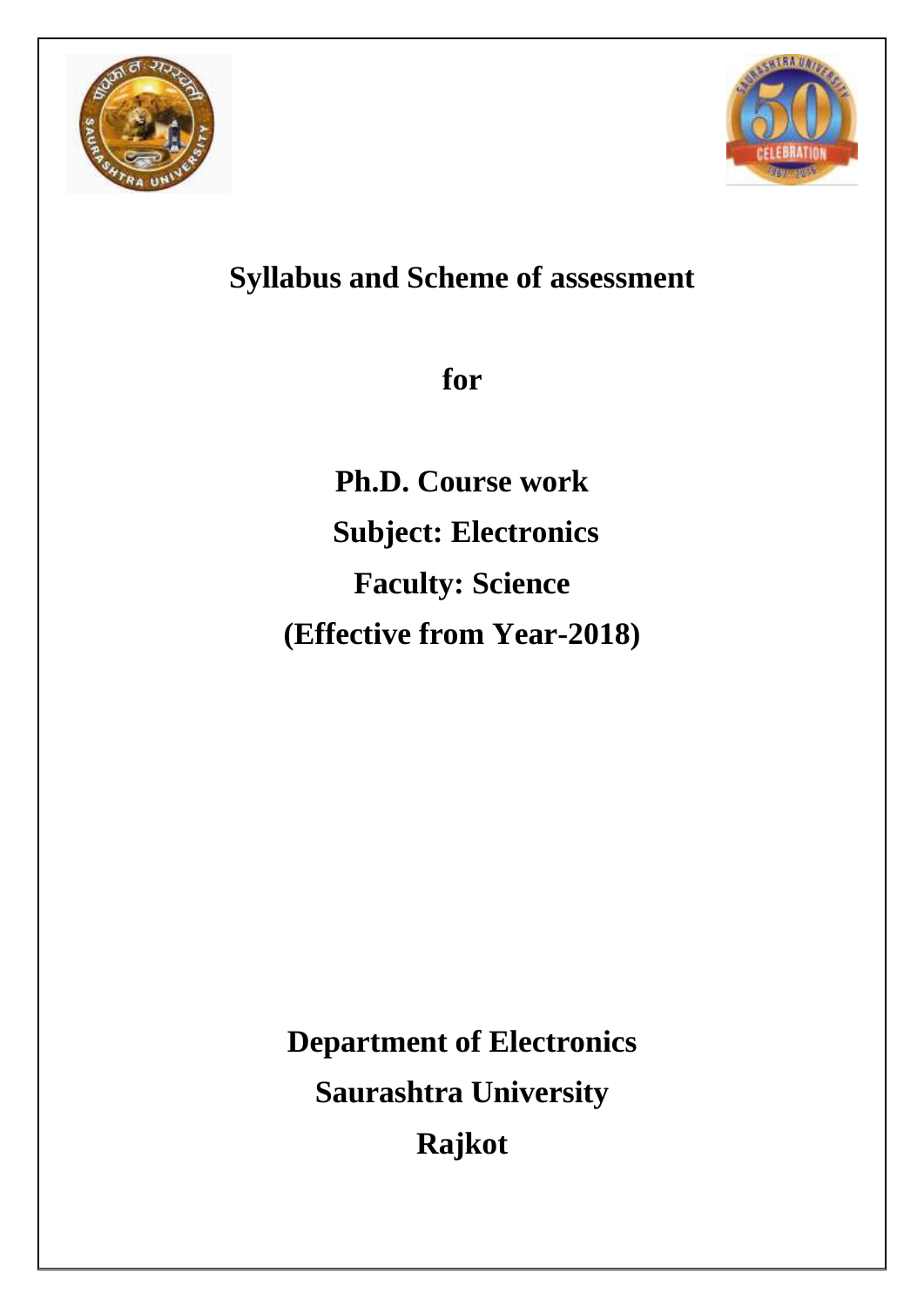



# **Syllabus and Scheme of assessment**

**for**

**Ph.D. Course work Subject: Electronics Faculty: Science (Effective from Year-2018)**

**Department of Electronics Saurashtra University Rajkot**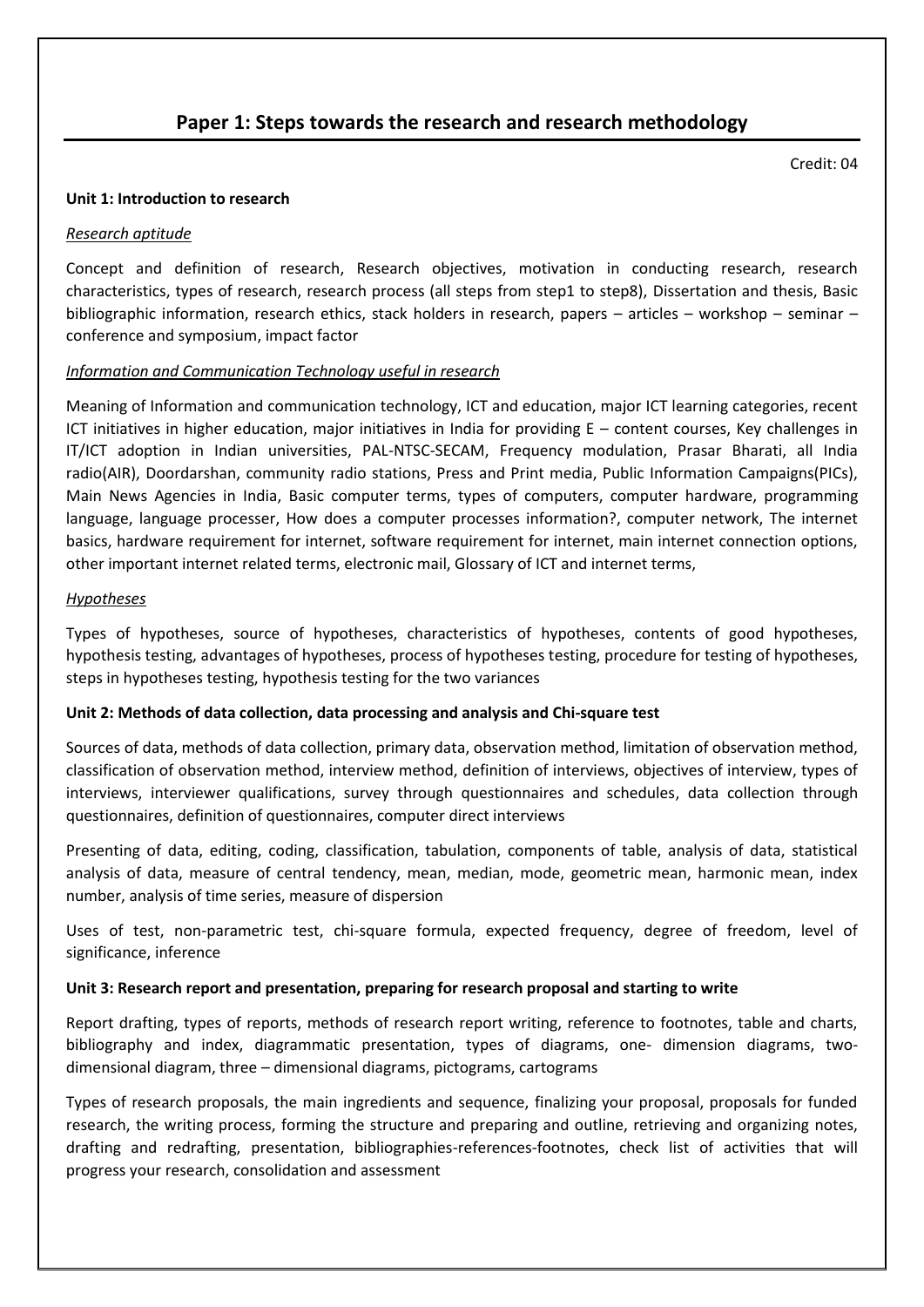# **Paper 1: Steps towards the research and research methodology**

Credit: 04

#### **Unit 1: Introduction to research**

#### *Research aptitude*

Concept and definition of research, Research objectives, motivation in conducting research, research characteristics, types of research, research process (all steps from step1 to step8), Dissertation and thesis, Basic bibliographic information, research ethics, stack holders in research, papers – articles – workshop – seminar – conference and symposium, impact factor

#### *Information and Communication Technology useful in research*

Meaning of Information and communication technology, ICT and education, major ICT learning categories, recent ICT initiatives in higher education, major initiatives in India for providing  $E -$  content courses, Key challenges in IT/ICT adoption in Indian universities, PAL-NTSC-SECAM, Frequency modulation, Prasar Bharati, all India radio(AIR), Doordarshan, community radio stations, Press and Print media, Public Information Campaigns(PICs), Main News Agencies in India, Basic computer terms, types of computers, computer hardware, programming language, language processer, How does a computer processes information?, computer network, The internet basics, hardware requirement for internet, software requirement for internet, main internet connection options, other important internet related terms, electronic mail, Glossary of ICT and internet terms,

#### *Hypotheses*

Types of hypotheses, source of hypotheses, characteristics of hypotheses, contents of good hypotheses, hypothesis testing, advantages of hypotheses, process of hypotheses testing, procedure for testing of hypotheses, steps in hypotheses testing, hypothesis testing for the two variances

#### **Unit 2: Methods of data collection, data processing and analysis and Chi-square test**

Sources of data, methods of data collection, primary data, observation method, limitation of observation method, classification of observation method, interview method, definition of interviews, objectives of interview, types of interviews, interviewer qualifications, survey through questionnaires and schedules, data collection through questionnaires, definition of questionnaires, computer direct interviews

Presenting of data, editing, coding, classification, tabulation, components of table, analysis of data, statistical analysis of data, measure of central tendency, mean, median, mode, geometric mean, harmonic mean, index number, analysis of time series, measure of dispersion

Uses of test, non-parametric test, chi-square formula, expected frequency, degree of freedom, level of significance, inference

#### **Unit 3: Research report and presentation, preparing for research proposal and starting to write**

Report drafting, types of reports, methods of research report writing, reference to footnotes, table and charts, bibliography and index, diagrammatic presentation, types of diagrams, one- dimension diagrams, twodimensional diagram, three – dimensional diagrams, pictograms, cartograms

Types of research proposals, the main ingredients and sequence, finalizing your proposal, proposals for funded research, the writing process, forming the structure and preparing and outline, retrieving and organizing notes, drafting and redrafting, presentation, bibliographies-references-footnotes, check list of activities that will progress your research, consolidation and assessment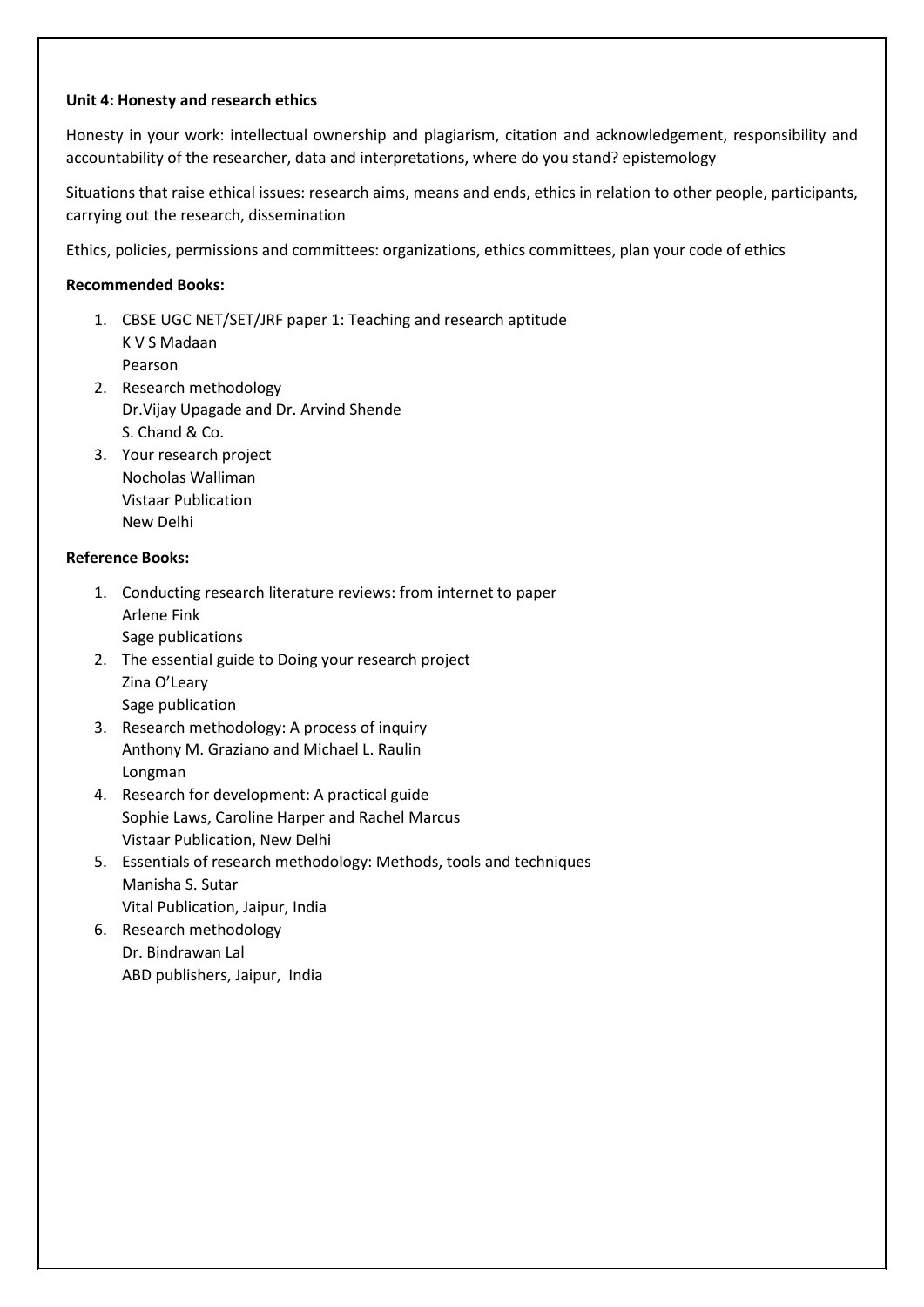#### **Unit 4: Honesty and research ethics**

Honesty in your work: intellectual ownership and plagiarism, citation and acknowledgement, responsibility and accountability of the researcher, data and interpretations, where do you stand? epistemology

Situations that raise ethical issues: research aims, means and ends, ethics in relation to other people, participants, carrying out the research, dissemination

Ethics, policies, permissions and committees: organizations, ethics committees, plan your code of ethics

#### **Recommended Books:**

- 1. CBSE UGC NET/SET/JRF paper 1: Teaching and research aptitude K V S Madaan Pearson
- 2. Research methodology Dr.Vijay Upagade and Dr. Arvind Shende S. Chand & Co.
- 3. Your research project Nocholas Walliman Vistaar Publication New Delhi

#### **Reference Books:**

- 1. Conducting research literature reviews: from internet to paper Arlene Fink Sage publications
- 2. The essential guide to Doing your research project Zina O'Leary Sage publication
- 3. Research methodology: A process of inquiry Anthony M. Graziano and Michael L. Raulin Longman
- 4. Research for development: A practical guide Sophie Laws, Caroline Harper and Rachel Marcus Vistaar Publication, New Delhi
- 5. Essentials of research methodology: Methods, tools and techniques Manisha S. Sutar Vital Publication, Jaipur, India
- 6. Research methodology Dr. Bindrawan Lal ABD publishers, Jaipur, India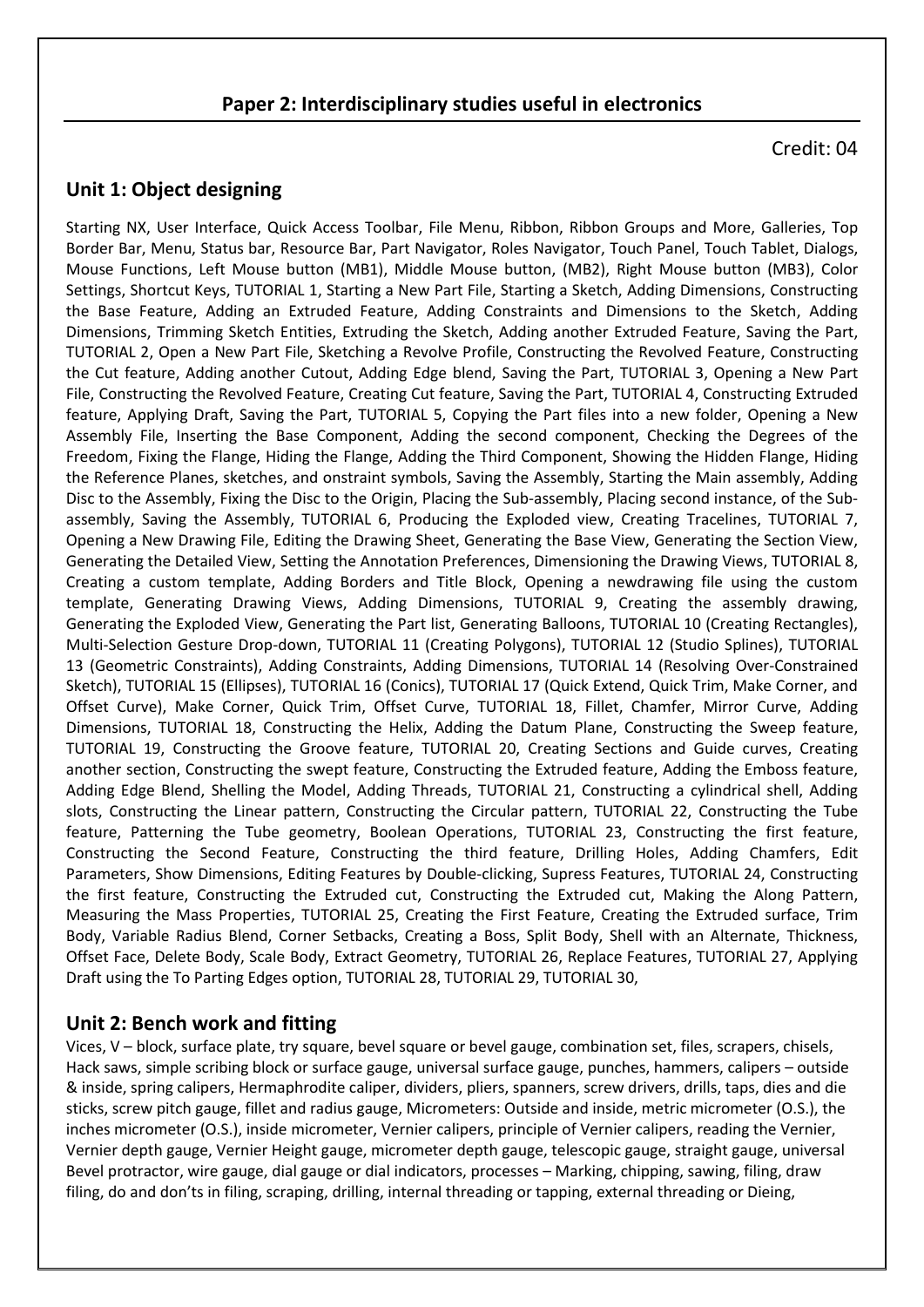## **Paper 2: Interdisciplinary studies useful in electronics**

Credit: 04

## **Unit 1: Object designing**

Starting NX, User Interface, Quick Access Toolbar, File Menu, Ribbon, Ribbon Groups and More, Galleries, Top Border Bar, Menu, Status bar, Resource Bar, Part Navigator, Roles Navigator, Touch Panel, Touch Tablet, Dialogs, Mouse Functions, Left Mouse button (MB1), Middle Mouse button, (MB2), Right Mouse button (MB3), Color Settings, Shortcut Keys, TUTORIAL 1, Starting a New Part File, Starting a Sketch, Adding Dimensions, Constructing the Base Feature, Adding an Extruded Feature, Adding Constraints and Dimensions to the Sketch, Adding Dimensions, Trimming Sketch Entities, Extruding the Sketch, Adding another Extruded Feature, Saving the Part, TUTORIAL 2, Open a New Part File, Sketching a Revolve Profile, Constructing the Revolved Feature, Constructing the Cut feature, Adding another Cutout, Adding Edge blend, Saving the Part, TUTORIAL 3, Opening a New Part File, Constructing the Revolved Feature, Creating Cut feature, Saving the Part, TUTORIAL 4, Constructing Extruded feature, Applying Draft, Saving the Part, TUTORIAL 5, Copying the Part files into a new folder, Opening a New Assembly File, Inserting the Base Component, Adding the second component, Checking the Degrees of the Freedom, Fixing the Flange, Hiding the Flange, Adding the Third Component, Showing the Hidden Flange, Hiding the Reference Planes, sketches, and onstraint symbols, Saving the Assembly, Starting the Main assembly, Adding Disc to the Assembly, Fixing the Disc to the Origin, Placing the Sub-assembly, Placing second instance, of the Subassembly, Saving the Assembly, TUTORIAL 6, Producing the Exploded view, Creating Tracelines, TUTORIAL 7, Opening a New Drawing File, Editing the Drawing Sheet, Generating the Base View, Generating the Section View, Generating the Detailed View, Setting the Annotation Preferences, Dimensioning the Drawing Views, TUTORIAL 8, Creating a custom template, Adding Borders and Title Block, Opening a newdrawing file using the custom template, Generating Drawing Views, Adding Dimensions, TUTORIAL 9, Creating the assembly drawing, Generating the Exploded View, Generating the Part list, Generating Balloons, TUTORIAL 10 (Creating Rectangles), Multi-Selection Gesture Drop-down, TUTORIAL 11 (Creating Polygons), TUTORIAL 12 (Studio Splines), TUTORIAL 13 (Geometric Constraints), Adding Constraints, Adding Dimensions, TUTORIAL 14 (Resolving Over-Constrained Sketch), TUTORIAL 15 (Ellipses), TUTORIAL 16 (Conics), TUTORIAL 17 (Quick Extend, Quick Trim, Make Corner, and Offset Curve), Make Corner, Quick Trim, Offset Curve, TUTORIAL 18, Fillet, Chamfer, Mirror Curve, Adding Dimensions, TUTORIAL 18, Constructing the Helix, Adding the Datum Plane, Constructing the Sweep feature, TUTORIAL 19, Constructing the Groove feature, TUTORIAL 20, Creating Sections and Guide curves, Creating another section, Constructing the swept feature, Constructing the Extruded feature, Adding the Emboss feature, Adding Edge Blend, Shelling the Model, Adding Threads, TUTORIAL 21, Constructing a cylindrical shell, Adding slots, Constructing the Linear pattern, Constructing the Circular pattern, TUTORIAL 22, Constructing the Tube feature, Patterning the Tube geometry, Boolean Operations, TUTORIAL 23, Constructing the first feature, Constructing the Second Feature, Constructing the third feature, Drilling Holes, Adding Chamfers, Edit Parameters, Show Dimensions, Editing Features by Double-clicking, Supress Features, TUTORIAL 24, Constructing the first feature, Constructing the Extruded cut, Constructing the Extruded cut, Making the Along Pattern, Measuring the Mass Properties, TUTORIAL 25, Creating the First Feature, Creating the Extruded surface, Trim Body, Variable Radius Blend, Corner Setbacks, Creating a Boss, Split Body, Shell with an Alternate, Thickness, Offset Face, Delete Body, Scale Body, Extract Geometry, TUTORIAL 26, Replace Features, TUTORIAL 27, Applying Draft using the To Parting Edges option, TUTORIAL 28, TUTORIAL 29, TUTORIAL 30,

## **Unit 2: Bench work and fitting**

Vices, V – block, surface plate, try square, bevel square or bevel gauge, combination set, files, scrapers, chisels, Hack saws, simple scribing block or surface gauge, universal surface gauge, punches, hammers, calipers – outside & inside, spring calipers, Hermaphrodite caliper, dividers, pliers, spanners, screw drivers, drills, taps, dies and die sticks, screw pitch gauge, fillet and radius gauge, Micrometers: Outside and inside, metric micrometer (O.S.), the inches micrometer (O.S.), inside micrometer, Vernier calipers, principle of Vernier calipers, reading the Vernier, Vernier depth gauge, Vernier Height gauge, micrometer depth gauge, telescopic gauge, straight gauge, universal Bevel protractor, wire gauge, dial gauge or dial indicators, processes – Marking, chipping, sawing, filing, draw filing, do and don'ts in filing, scraping, drilling, internal threading or tapping, external threading or Dieing,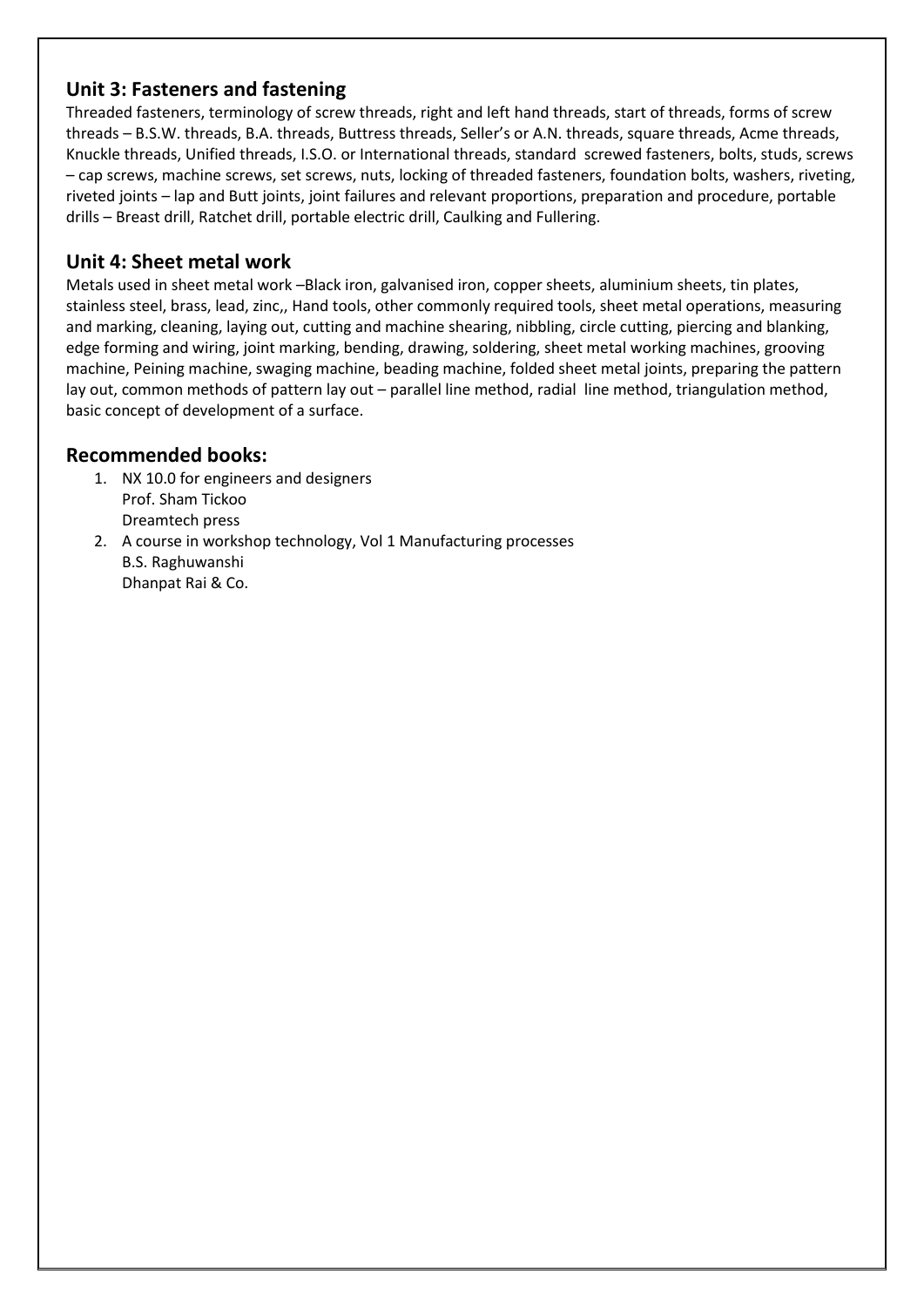# **Unit 3: Fasteners and fastening**

Threaded fasteners, terminology of screw threads, right and left hand threads, start of threads, forms of screw threads – B.S.W. threads, B.A. threads, Buttress threads, Seller's or A.N. threads, square threads, Acme threads, Knuckle threads, Unified threads, I.S.O. or International threads, standard screwed fasteners, bolts, studs, screws – cap screws, machine screws, set screws, nuts, locking of threaded fasteners, foundation bolts, washers, riveting, riveted joints – lap and Butt joints, joint failures and relevant proportions, preparation and procedure, portable drills – Breast drill, Ratchet drill, portable electric drill, Caulking and Fullering.

# **Unit 4: Sheet metal work**

Metals used in sheet metal work –Black iron, galvanised iron, copper sheets, aluminium sheets, tin plates, stainless steel, brass, lead, zinc,, Hand tools, other commonly required tools, sheet metal operations, measuring and marking, cleaning, laying out, cutting and machine shearing, nibbling, circle cutting, piercing and blanking, edge forming and wiring, joint marking, bending, drawing, soldering, sheet metal working machines, grooving machine, Peining machine, swaging machine, beading machine, folded sheet metal joints, preparing the pattern lay out, common methods of pattern lay out – parallel line method, radial line method, triangulation method, basic concept of development of a surface.

# **Recommended books:**

- 1. NX 10.0 for engineers and designers Prof. Sham Tickoo Dreamtech press
- 2. A course in workshop technology, Vol 1 Manufacturing processes B.S. Raghuwanshi Dhanpat Rai & Co.